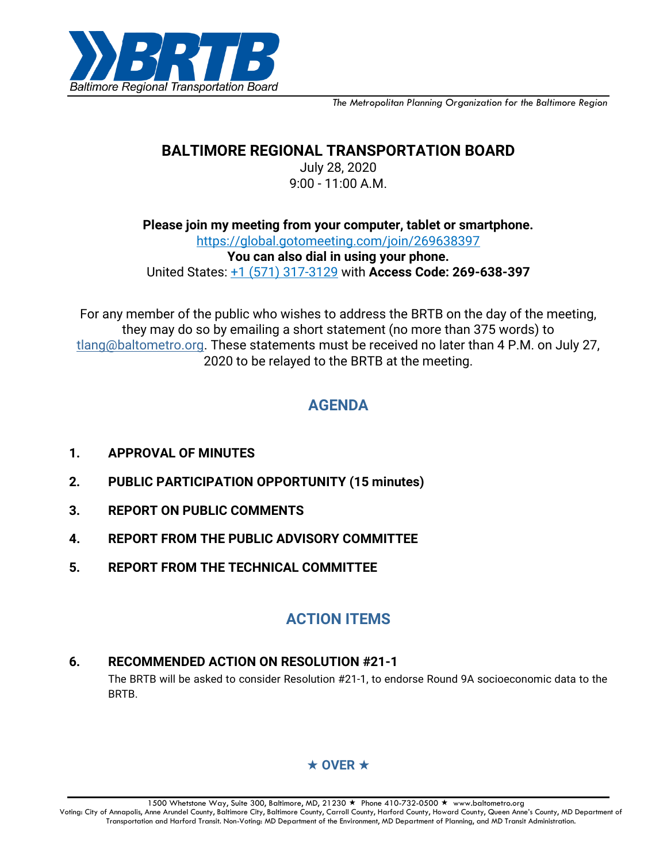

*The Metropolitan Planning Organization for the Baltimore Region*

## **BALTIMORE REGIONAL TRANSPORTATION BOARD**

July 28, 2020 9:00 - 11:00 A.M.

**Please join my meeting from your computer, tablet or smartphone.** <https://global.gotomeeting.com/join/269638397> **You can also dial in using your phone.** United States: [+1 \(571\) 317-3129](tel:+15713173129,,269638397) with **Access Code: 269-638-397**

For any member of the public who wishes to address the BRTB on the day of the meeting, they may do so by emailing a short statement (no more than 375 words) to [tlang@baltometro.org.](mailto:tlang@baltometro.org) These statements must be received no later than 4 P.M. on July 27, 2020 to be relayed to the BRTB at the meeting.

# **AGENDA**

- **1. APPROVAL OF MINUTES**
- **2. PUBLIC PARTICIPATION OPPORTUNITY (15 minutes)**
- **3. REPORT ON PUBLIC COMMENTS**
- **4. REPORT FROM THE PUBLIC ADVISORY COMMITTEE**
- **5. REPORT FROM THE TECHNICAL COMMITTEE**

# **ACTION ITEMS**

### **6. RECOMMENDED ACTION ON RESOLUTION #21-1**

The BRTB will be asked to consider Resolution #21-1, to endorse Round 9A socioeconomic data to the BRTB.

## $\star$  OVER  $\star$

1500 Whetstone Way, Suite 300, Baltimore, MD, 21230 ★ Phone 410-732-0500 ★ www.baltometro.org Voting: City of Annapolis, Anne Arundel County, Baltimore City, Baltimore County, Carroll County, Harford County, Howard County, Queen Anne's County, MD Department of Transportation and Harford Transit. Non-Voting: MD Department of the Environment, MD Department of Planning, and MD Transit Administration.